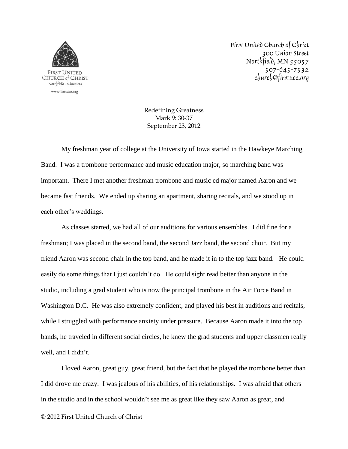

First United Church of Christ 300 Union Street Northfield, MN 55057 507-645-7532 church@firstucc.org

Redefining Greatness Mark 9: 30-37 September 23, 2012

My freshman year of college at the University of Iowa started in the Hawkeye Marching Band. I was a trombone performance and music education major, so marching band was important. There I met another freshman trombone and music ed major named Aaron and we became fast friends. We ended up sharing an apartment, sharing recitals, and we stood up in each other's weddings.

As classes started, we had all of our auditions for various ensembles. I did fine for a freshman; I was placed in the second band, the second Jazz band, the second choir. But my friend Aaron was second chair in the top band, and he made it in to the top jazz band. He could easily do some things that I just couldn't do. He could sight read better than anyone in the studio, including a grad student who is now the principal trombone in the Air Force Band in Washington D.C. He was also extremely confident, and played his best in auditions and recitals, while I struggled with performance anxiety under pressure. Because Aaron made it into the top bands, he traveled in different social circles, he knew the grad students and upper classmen really well, and I didn't.

I loved Aaron, great guy, great friend, but the fact that he played the trombone better than I did drove me crazy. I was jealous of his abilities, of his relationships. I was afraid that others in the studio and in the school wouldn't see me as great like they saw Aaron as great, and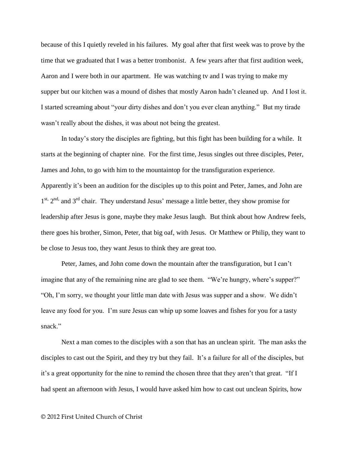because of this I quietly reveled in his failures. My goal after that first week was to prove by the time that we graduated that I was a better trombonist. A few years after that first audition week, Aaron and I were both in our apartment. He was watching tv and I was trying to make my supper but our kitchen was a mound of dishes that mostly Aaron hadn't cleaned up. And I lost it. I started screaming about "your dirty dishes and don't you ever clean anything." But my tirade wasn't really about the dishes, it was about not being the greatest.

In today's story the disciples are fighting, but this fight has been building for a while. It starts at the beginning of chapter nine. For the first time, Jesus singles out three disciples, Peter, James and John, to go with him to the mountaintop for the transfiguration experience. Apparently it's been an audition for the disciples up to this point and Peter, James, and John are 1<sup>st, 2nd,</sup> and 3<sup>rd</sup> chair. They understand Jesus' message a little better, they show promise for leadership after Jesus is gone, maybe they make Jesus laugh. But think about how Andrew feels, there goes his brother, Simon, Peter, that big oaf, with Jesus. Or Matthew or Philip, they want to be close to Jesus too, they want Jesus to think they are great too.

Peter, James, and John come down the mountain after the transfiguration, but I can't imagine that any of the remaining nine are glad to see them. "We're hungry, where's supper?" "Oh, I'm sorry, we thought your little man date with Jesus was supper and a show. We didn't leave any food for you. I'm sure Jesus can whip up some loaves and fishes for you for a tasty snack"

Next a man comes to the disciples with a son that has an unclean spirit. The man asks the disciples to cast out the Spirit, and they try but they fail. It's a failure for all of the disciples, but it's a great opportunity for the nine to remind the chosen three that they aren't that great. "If I had spent an afternoon with Jesus, I would have asked him how to cast out unclean Spirits, how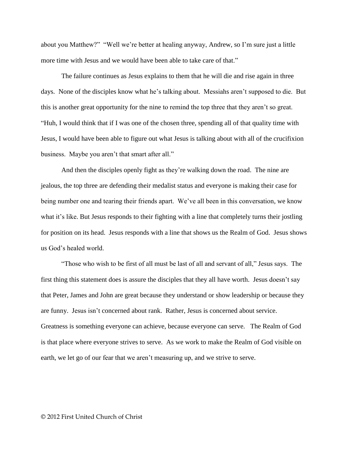about you Matthew?" "Well we're better at healing anyway, Andrew, so I'm sure just a little more time with Jesus and we would have been able to take care of that."

The failure continues as Jesus explains to them that he will die and rise again in three days. None of the disciples know what he's talking about. Messiahs aren't supposed to die. But this is another great opportunity for the nine to remind the top three that they aren't so great. "Huh, I would think that if I was one of the chosen three, spending all of that quality time with Jesus, I would have been able to figure out what Jesus is talking about with all of the crucifixion business. Maybe you aren't that smart after all."

And then the disciples openly fight as they're walking down the road. The nine are jealous, the top three are defending their medalist status and everyone is making their case for being number one and tearing their friends apart. We've all been in this conversation, we know what it's like. But Jesus responds to their fighting with a line that completely turns their jostling for position on its head. Jesus responds with a line that shows us the Realm of God. Jesus shows us God's healed world.

"Those who wish to be first of all must be last of all and servant of all," Jesus says. The first thing this statement does is assure the disciples that they all have worth. Jesus doesn't say that Peter, James and John are great because they understand or show leadership or because they are funny. Jesus isn't concerned about rank. Rather, Jesus is concerned about service. Greatness is something everyone can achieve, because everyone can serve. The Realm of God is that place where everyone strives to serve. As we work to make the Realm of God visible on earth, we let go of our fear that we aren't measuring up, and we strive to serve.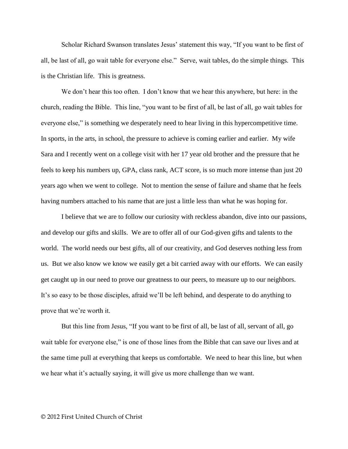Scholar Richard Swanson translates Jesus' statement this way, "If you want to be first of all, be last of all, go wait table for everyone else." Serve, wait tables, do the simple things. This is the Christian life. This is greatness.

We don't hear this too often. I don't know that we hear this anywhere, but here: in the church, reading the Bible. This line, "you want to be first of all, be last of all, go wait tables for everyone else," is something we desperately need to hear living in this hypercompetitive time. In sports, in the arts, in school, the pressure to achieve is coming earlier and earlier. My wife Sara and I recently went on a college visit with her 17 year old brother and the pressure that he feels to keep his numbers up, GPA, class rank, ACT score, is so much more intense than just 20 years ago when we went to college. Not to mention the sense of failure and shame that he feels having numbers attached to his name that are just a little less than what he was hoping for.

I believe that we are to follow our curiosity with reckless abandon, dive into our passions, and develop our gifts and skills. We are to offer all of our God-given gifts and talents to the world. The world needs our best gifts, all of our creativity, and God deserves nothing less from us. But we also know we know we easily get a bit carried away with our efforts. We can easily get caught up in our need to prove our greatness to our peers, to measure up to our neighbors. It's so easy to be those disciples, afraid we'll be left behind, and desperate to do anything to prove that we're worth it.

But this line from Jesus, "If you want to be first of all, be last of all, servant of all, go wait table for everyone else," is one of those lines from the Bible that can save our lives and at the same time pull at everything that keeps us comfortable. We need to hear this line, but when we hear what it's actually saying, it will give us more challenge than we want.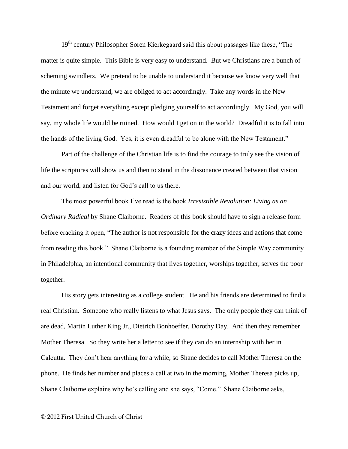19<sup>th</sup> century Philosopher Soren Kierkegaard said this about passages like these, "The matter is quite simple. This Bible is very easy to understand. But we Christians are a bunch of scheming swindlers. We pretend to be unable to understand it because we know very well that the minute we understand, we are obliged to act accordingly. Take any words in the New Testament and forget everything except pledging yourself to act accordingly. My God, you will say, my whole life would be ruined. How would I get on in the world? Dreadful it is to fall into the hands of the living God. Yes, it is even dreadful to be alone with the New Testament."

Part of the challenge of the Christian life is to find the courage to truly see the vision of life the scriptures will show us and then to stand in the dissonance created between that vision and our world, and listen for God's call to us there.

The most powerful book I've read is the book *Irresistible Revolution: Living as an Ordinary Radical* by Shane Claiborne. Readers of this book should have to sign a release form before cracking it open, "The author is not responsible for the crazy ideas and actions that come from reading this book." Shane Claiborne is a founding member of the Simple Way community in Philadelphia, an intentional community that lives together, worships together, serves the poor together.

His story gets interesting as a college student. He and his friends are determined to find a real Christian. Someone who really listens to what Jesus says. The only people they can think of are dead, Martin Luther King Jr., Dietrich Bonhoeffer, Dorothy Day. And then they remember Mother Theresa. So they write her a letter to see if they can do an internship with her in Calcutta. They don't hear anything for a while, so Shane decides to call Mother Theresa on the phone. He finds her number and places a call at two in the morning, Mother Theresa picks up, Shane Claiborne explains why he's calling and she says, "Come." Shane Claiborne asks,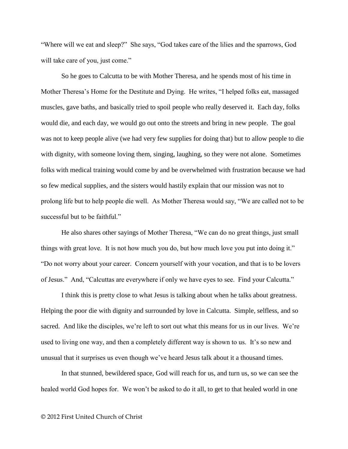"Where will we eat and sleep?" She says, "God takes care of the lilies and the sparrows, God will take care of you, just come."

So he goes to Calcutta to be with Mother Theresa, and he spends most of his time in Mother Theresa's Home for the Destitute and Dying. He writes, "I helped folks eat, massaged muscles, gave baths, and basically tried to spoil people who really deserved it. Each day, folks would die, and each day, we would go out onto the streets and bring in new people. The goal was not to keep people alive (we had very few supplies for doing that) but to allow people to die with dignity, with someone loving them, singing, laughing, so they were not alone. Sometimes folks with medical training would come by and be overwhelmed with frustration because we had so few medical supplies, and the sisters would hastily explain that our mission was not to prolong life but to help people die well. As Mother Theresa would say, "We are called not to be successful but to be faithful."

He also shares other sayings of Mother Theresa, "We can do no great things, just small things with great love. It is not how much you do, but how much love you put into doing it." "Do not worry about your career. Concern yourself with your vocation, and that is to be lovers of Jesus." And, "Calcuttas are everywhere if only we have eyes to see. Find your Calcutta."

I think this is pretty close to what Jesus is talking about when he talks about greatness. Helping the poor die with dignity and surrounded by love in Calcutta. Simple, selfless, and so sacred. And like the disciples, we're left to sort out what this means for us in our lives. We're used to living one way, and then a completely different way is shown to us. It's so new and unusual that it surprises us even though we've heard Jesus talk about it a thousand times.

In that stunned, bewildered space, God will reach for us, and turn us, so we can see the healed world God hopes for. We won't be asked to do it all, to get to that healed world in one